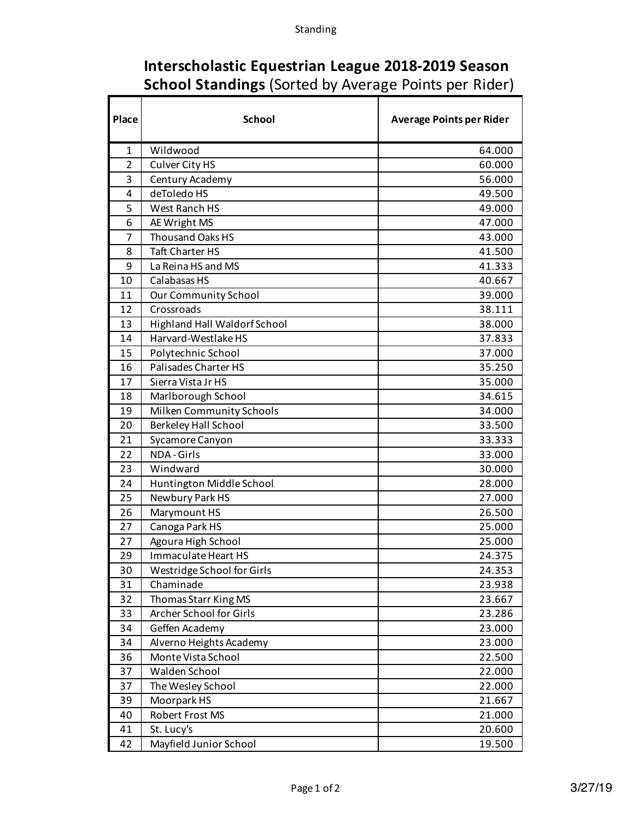Г

| Interscholastic Equestrian League 2018-2019 Season           |  |  |
|--------------------------------------------------------------|--|--|
| <b>School Standings (Sorted by Average Points per Rider)</b> |  |  |
|                                                              |  |  |

| Place          | <b>School</b>                       | <b>Average Points per Rider</b> |
|----------------|-------------------------------------|---------------------------------|
| $\mathbf{1}$   | Wildwood                            | 64.000                          |
| $\overline{2}$ | Culver City HS                      | 60.000                          |
| 3              | Century Academy                     | 56.000                          |
| 4              | deToledo HS                         | 49.500                          |
| 5              | West Ranch HS                       | 49.000                          |
| 6              | AE Wright MS                        | 47.000                          |
| 7              | Thousand Oaks HS                    | 43.000                          |
| 8              | <b>Taft Charter HS</b>              | 41.500                          |
| 9              | La Reina HS and MS                  | 41.333                          |
| 10             | Calabasas HS                        | 40.667                          |
| 11             | <b>Our Community School</b>         | 39.000                          |
| 12             | Crossroads                          | 38.111                          |
| 13             | <b>Highland Hall Waldorf School</b> | 38.000                          |
| 14             | Harvard-Westlake HS                 | 37.833                          |
| 15             | Polytechnic School                  | 37.000                          |
| 16             | <b>Palisades Charter HS</b>         | 35.250                          |
| 17             | Sierra Vista Jr HS                  | 35.000                          |
| 18             | Marlborough School                  | 34.615                          |
| 19             | Milken Community Schools            | 34.000                          |
| 20             | <b>Berkeley Hall School</b>         | 33.500                          |
| 21             | Sycamore Canyon                     | 33.333                          |
| 22             | NDA-Girls                           | 33.000                          |
| 23             | Windward                            | 30.000                          |
| 24             | Huntington Middle School            | 28.000                          |
| 25             | Newbury Park HS                     | 27.000                          |
| 26             | Marymount HS                        | 26.500                          |
| 27             | Canoga Park HS                      | 25.000                          |
| 27             | Agoura High School                  | 25.000                          |
| 29             | Immaculate Heart HS                 | 24.375                          |
| 30             | Westridge School for Girls          | 24.353                          |
| 31             | Chaminade                           | 23.938                          |
| 32             | Thomas Starr King MS                | 23.667                          |
| 33             | Archer School for Girls             | 23.286                          |
| 34             | Geffen Academy                      | 23.000                          |
| 34             | Alverno Heights Academy             | 23.000                          |
| 36             | Monte Vista School                  | 22.500                          |
| 37             | Walden School                       | 22.000                          |
| 37             | The Wesley School                   | 22.000                          |
| 39             | Moorpark HS                         | 21.667                          |
| 40             | Robert Frost MS                     | 21.000                          |
| 41             | St. Lucy's                          | 20.600                          |
| 42             | Mayfield Junior School              | 19.500                          |